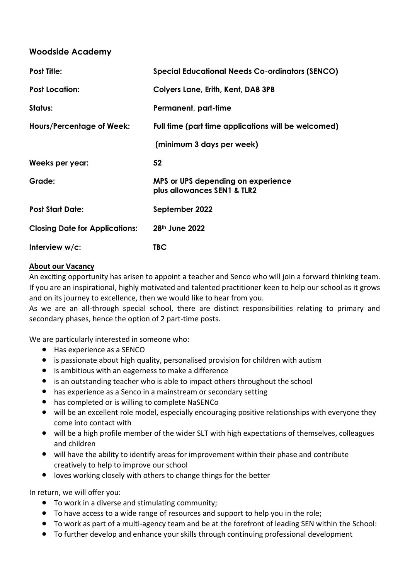## **Woodside Academy**

| <b>Post Title:</b>                    | <b>Special Educational Needs Co-ordinators (SENCO)</b>            |
|---------------------------------------|-------------------------------------------------------------------|
| <b>Post Location:</b>                 | Colyers Lane, Erith, Kent, DA8 3PB                                |
| Status:                               | Permanent, part-time                                              |
| <b>Hours/Percentage of Week:</b>      | Full time (part time applications will be welcomed)               |
|                                       | (minimum 3 days per week)                                         |
| Weeks per year:                       | 52                                                                |
| Grade:                                | MPS or UPS depending on experience<br>plus allowances SEN1 & TLR2 |
| <b>Post Start Date:</b>               | September 2022                                                    |
| <b>Closing Date for Applications:</b> | 28 <sup>th</sup> June 2022                                        |
| Interview w/c:                        | <b>TBC</b>                                                        |

## **About our Vacancy**

An exciting opportunity has arisen to appoint a teacher and Senco who will join a forward thinking team. If you are an inspirational, highly motivated and talented practitioner keen to help our school as it grows and on its journey to excellence, then we would like to hear from you.

As we are an all-through special school, there are distinct responsibilities relating to primary and secondary phases, hence the option of 2 part-time posts.

We are particularly interested in someone who:

- Has experience as a SENCO
- is passionate about high quality, personalised provision for children with autism
- is ambitious with an eagerness to make a difference
- is an outstanding teacher who is able to impact others throughout the school
- has experience as a Senco in a mainstream or secondary setting
- has completed or is willing to complete NaSENCo
- will be an excellent role model, especially encouraging positive relationships with everyone they come into contact with
- will be a high profile member of the wider SLT with high expectations of themselves, colleagues and children
- will have the ability to identify areas for improvement within their phase and contribute creatively to help to improve our school
- loves working closely with others to change things for the better

In return, we will offer you:

- To work in a diverse and stimulating community;
- To have access to a wide range of resources and support to help you in the role;
- To work as part of a multi-agency team and be at the forefront of leading SEN within the School:
- To further develop and enhance your skills through continuing professional development